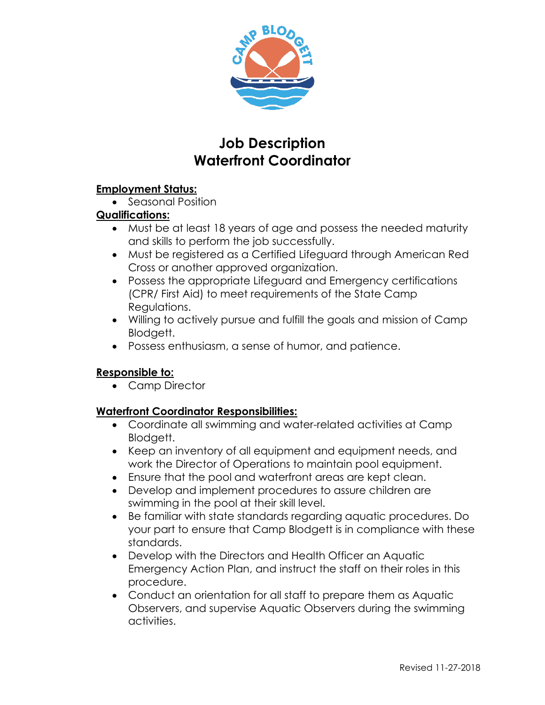

# **Job Description Waterfront Coordinator**

#### **Employment Status:**

• Seasonal Position

## **Qualifications:**

- Must be at least 18 years of age and possess the needed maturity and skills to perform the job successfully.
- Must be registered as a Certified Lifeguard through American Red Cross or another approved organization.
- Possess the appropriate Lifeguard and Emergency certifications (CPR/ First Aid) to meet requirements of the State Camp Regulations.
- Willing to actively pursue and fulfill the goals and mission of Camp Blodgett.
- Possess enthusiasm, a sense of humor, and patience.

## **Responsible to:**

• Camp Director

## **Waterfront Coordinator Responsibilities:**

- Coordinate all swimming and water-related activities at Camp Blodgett.
- Keep an inventory of all equipment and equipment needs, and work the Director of Operations to maintain pool equipment.
- Ensure that the pool and waterfront areas are kept clean.
- Develop and implement procedures to assure children are swimming in the pool at their skill level.
- Be familiar with state standards regarding aquatic procedures. Do your part to ensure that Camp Blodgett is in compliance with these standards.
- Develop with the Directors and Health Officer an Aquatic Emergency Action Plan, and instruct the staff on their roles in this procedure.
- Conduct an orientation for all staff to prepare them as Aquatic Observers, and supervise Aquatic Observers during the swimming activities.